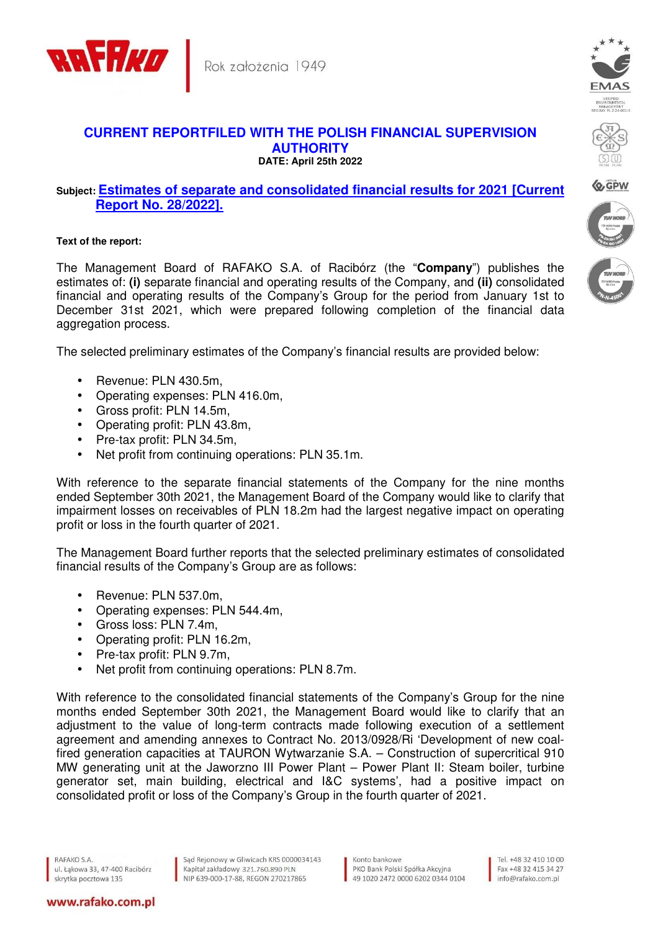

## **CURRENT REPORTFILED WITH THE POLISH FINANCIAL SUPERVISION AUTHORITY DATE: April 25th 2022**

## **Subject: Estimates of separate and consolidated financial results for 2021 [Current Report No. 28/2022].**

## **Text of the report:**

The Management Board of RAFAKO S.A. of Racibórz (the "**Company**") publishes the estimates of: **(i)** separate financial and operating results of the Company, and **(ii)** consolidated financial and operating results of the Company's Group for the period from January 1st to December 31st 2021, which were prepared following completion of the financial data aggregation process.

The selected preliminary estimates of the Company's financial results are provided below:

- Revenue: PLN 430.5m,
- Operating expenses: PLN 416.0m,
- Gross profit: PLN 14.5m,
- Operating profit: PLN 43.8m,
- Pre-tax profit: PLN 34.5m,
- Net profit from continuing operations: PLN 35.1m.

With reference to the separate financial statements of the Company for the nine months ended September 30th 2021, the Management Board of the Company would like to clarify that impairment losses on receivables of PLN 18.2m had the largest negative impact on operating profit or loss in the fourth quarter of 2021.

The Management Board further reports that the selected preliminary estimates of consolidated financial results of the Company's Group are as follows:

- Revenue: PLN 537.0m,
- Operating expenses: PLN 544.4m,
- Gross loss: PLN 7.4m,
- Operating profit: PLN 16.2m,
- Pre-tax profit: PLN 9.7m,
- Net profit from continuing operations: PLN 8.7m.

With reference to the consolidated financial statements of the Company's Group for the nine months ended September 30th 2021, the Management Board would like to clarify that an adjustment to the value of long-term contracts made following execution of a settlement agreement and amending annexes to Contract No. 2013/0928/Ri 'Development of new coalfired generation capacities at TAURON Wytwarzanie S.A. – Construction of supercritical 910 MW generating unit at the Jaworzno III Power Plant – Power Plant II: Steam boiler, turbine generator set, main building, electrical and I&C systems', had a positive impact on consolidated profit or loss of the Company's Group in the fourth quarter of 2021.

RAFAKO S.A. ul. Łąkowa 33, 47-400 Racibórz skrytka pocztowa 135

www.rafako.com.pl

Sąd Rejonowy w Gliwicach KRS 0000034143 Kapitał zakładowy 321.760.890 PLN NIP 639-000-17-88, REGON 270217865

Konto bankowe PKO Bank Polski Spółka Akcyjna 49 1020 2472 0000 6202 0344 0104